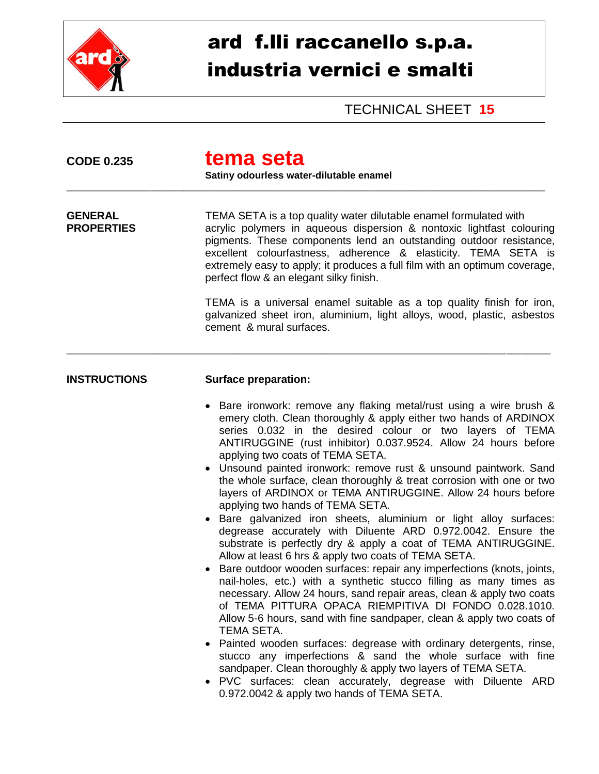

## ard f.lli raccanello s.p.a. industria vernici e smalti

TECHNICAL SHEET **15**

| <b>CODE 0.235</b>                   | tema seta<br>Satiny odourless water-dilutable enamel                                                                                                                                                                                                                                                                                                                                                                                                                                                                                                                                                                                                                                                                                                                                                                                                                                                                                                                                                                                                                                                                                                                                                                                                                                                                                                                                                                                                                                                                  |
|-------------------------------------|-----------------------------------------------------------------------------------------------------------------------------------------------------------------------------------------------------------------------------------------------------------------------------------------------------------------------------------------------------------------------------------------------------------------------------------------------------------------------------------------------------------------------------------------------------------------------------------------------------------------------------------------------------------------------------------------------------------------------------------------------------------------------------------------------------------------------------------------------------------------------------------------------------------------------------------------------------------------------------------------------------------------------------------------------------------------------------------------------------------------------------------------------------------------------------------------------------------------------------------------------------------------------------------------------------------------------------------------------------------------------------------------------------------------------------------------------------------------------------------------------------------------------|
| <b>GENERAL</b><br><b>PROPERTIES</b> | TEMA SETA is a top quality water dilutable enamel formulated with<br>acrylic polymers in aqueous dispersion & nontoxic lightfast colouring<br>pigments. These components lend an outstanding outdoor resistance,<br>excellent colourfastness, adherence & elasticity. TEMA SETA is<br>extremely easy to apply; it produces a full film with an optimum coverage,<br>perfect flow & an elegant silky finish.                                                                                                                                                                                                                                                                                                                                                                                                                                                                                                                                                                                                                                                                                                                                                                                                                                                                                                                                                                                                                                                                                                           |
|                                     | TEMA is a universal enamel suitable as a top quality finish for iron,<br>galvanized sheet iron, aluminium, light alloys, wood, plastic, asbestos<br>cement & mural surfaces.                                                                                                                                                                                                                                                                                                                                                                                                                                                                                                                                                                                                                                                                                                                                                                                                                                                                                                                                                                                                                                                                                                                                                                                                                                                                                                                                          |
| <b>INSTRUCTIONS</b>                 | <b>Surface preparation:</b>                                                                                                                                                                                                                                                                                                                                                                                                                                                                                                                                                                                                                                                                                                                                                                                                                                                                                                                                                                                                                                                                                                                                                                                                                                                                                                                                                                                                                                                                                           |
|                                     | Bare ironwork: remove any flaking metal/rust using a wire brush &<br>emery cloth. Clean thoroughly & apply either two hands of ARDINOX<br>series 0.032 in the desired colour or two layers of TEMA<br>ANTIRUGGINE (rust inhibitor) 0.037.9524. Allow 24 hours before<br>applying two coats of TEMA SETA.<br>• Unsound painted ironwork: remove rust & unsound paintwork. Sand<br>the whole surface, clean thoroughly & treat corrosion with one or two<br>layers of ARDINOX or TEMA ANTIRUGGINE. Allow 24 hours before<br>applying two hands of TEMA SETA.<br>• Bare galvanized iron sheets, aluminium or light alloy surfaces:<br>degrease accurately with Diluente ARD 0.972.0042. Ensure the<br>substrate is perfectly dry & apply a coat of TEMA ANTIRUGGINE.<br>Allow at least 6 hrs & apply two coats of TEMA SETA.<br>Bare outdoor wooden surfaces: repair any imperfections (knots, joints,<br>nail-holes, etc.) with a synthetic stucco filling as many times as<br>necessary. Allow 24 hours, sand repair areas, clean & apply two coats<br>of TEMA PITTURA OPACA RIEMPITIVA DI FONDO 0.028.1010.<br>Allow 5-6 hours, sand with fine sandpaper, clean & apply two coats of<br>TEMA SETA.<br>• Painted wooden surfaces: degrease with ordinary detergents, rinse,<br>stucco any imperfections & sand the whole surface with fine<br>sandpaper. Clean thoroughly & apply two layers of TEMA SETA.<br>PVC surfaces: clean accurately, degrease with Diluente ARD<br>0.972.0042 & apply two hands of TEMA SETA. |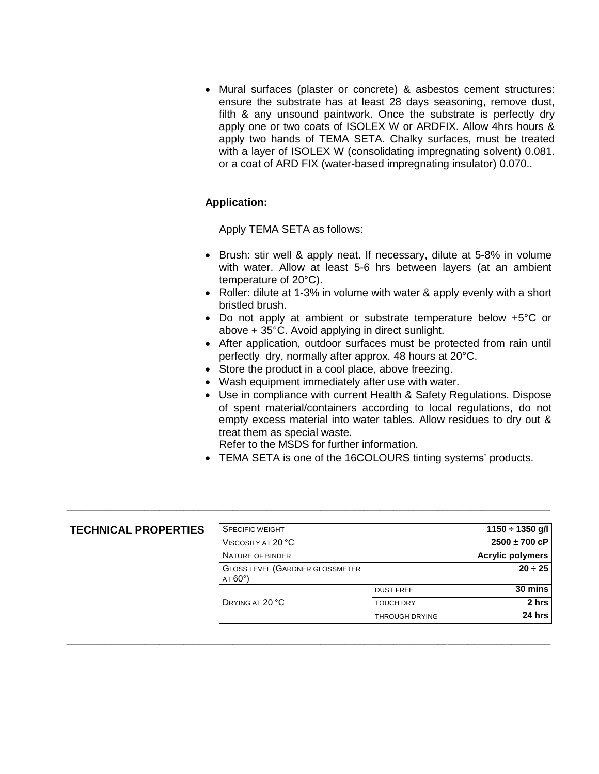Mural surfaces (plaster or concrete) & asbestos cement structures: ensure the substrate has at least 28 days seasoning, remove dust, filth & any unsound paintwork. Once the substrate is perfectly dry apply one or two coats of ISOLEX W or ARDFIX. Allow 4hrs hours & apply two hands of TEMA SETA. Chalky surfaces, must be treated with a layer of ISOLEX W (consolidating impregnating solvent) 0.081. or a coat of ARD FIX (water-based impregnating insulator) 0.070..

## **Application:**

Apply TEMA SETA as follows:

- Brush: stir well & apply neat. If necessary, dilute at 5-8% in volume with water. Allow at least 5-6 hrs between layers (at an ambient temperature of 20°C).
- Roller: dilute at 1-3% in volume with water & apply evenly with a short bristled brush.
- Do not apply at ambient or substrate temperature below +5°C or above + 35°C. Avoid applying in direct sunlight.
- After application, outdoor surfaces must be protected from rain until perfectly dry, normally after approx. 48 hours at 20°C.
- Store the product in a cool place, above freezing.
- Wash equipment immediately after use with water.
- Use in compliance with current Health & Safety Regulations. Dispose of spent material/containers according to local regulations, do not empty excess material into water tables. Allow residues to dry out & treat them as special waste.

Refer to the MSDS for further information.

\_\_\_\_\_\_\_\_\_\_\_\_\_\_\_\_\_\_\_\_\_\_\_\_\_\_\_\_\_\_\_\_\_\_\_\_\_\_\_\_\_\_\_\_\_\_\_\_\_\_\_\_\_\_\_\_\_\_\_\_\_\_\_\_\_\_\_\_\_\_\_\_\_\_\_\_\_\_\_\_\_\_\_\_\_\_\_\_\_\_\_\_\_\_\_\_\_\_\_

\_\_\_\_\_\_\_\_\_\_\_\_\_\_\_\_\_\_\_\_\_\_\_\_\_\_\_\_\_\_\_\_\_\_\_\_\_\_\_\_\_\_\_\_\_\_\_\_\_\_\_\_\_\_\_\_\_\_\_\_\_\_\_\_\_\_\_\_\_\_\_\_\_\_\_\_\_\_\_\_\_\_\_\_\_\_\_\_\_\_\_\_\_\_\_\_\_\_\_

TEMA SETA is one of the 16COLOURS tinting systems' products.

## **TECHNICAL PROPERTIES**

| <b>SPECIFIC WEIGHT</b>                                  | $1150 \div 1350$ g/l    |                   |
|---------------------------------------------------------|-------------------------|-------------------|
| VISCOSITY AT 20 °C                                      |                         | $2500 \pm 700$ cP |
| NATURE OF BINDER                                        | <b>Acrylic polymers</b> |                   |
| <b>GLOSS LEVEL (GARDNER GLOSSMETER</b><br>$AT 60^\circ$ | $20 \div 25$            |                   |
|                                                         | <b>DUST FREE</b>        | 30 mins           |
| DRYING AT 20 °C                                         | <b>TOUCH DRY</b>        | 2 hrs             |
|                                                         | <b>THROUGH DRYING</b>   | 24 hrs            |